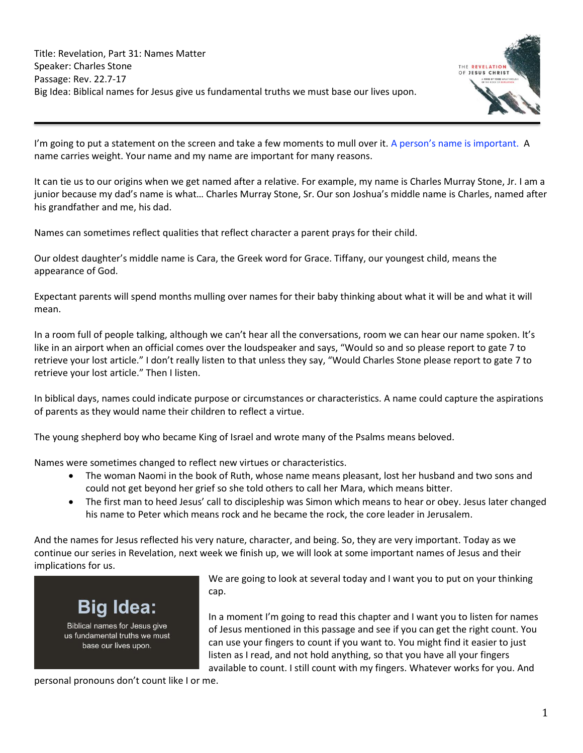

I'm going to put a statement on the screen and take a few moments to mull over it. A person's name is important. A name carries weight. Your name and my name are important for many reasons.

It can tie us to our origins when we get named after a relative. For example, my name is Charles Murray Stone, Jr. I am a junior because my dad's name is what… Charles Murray Stone, Sr. Our son Joshua's middle name is Charles, named after his grandfather and me, his dad.

Names can sometimes reflect qualities that reflect character a parent prays for their child.

Our oldest daughter's middle name is Cara, the Greek word for Grace. Tiffany, our youngest child, means the appearance of God.

Expectant parents will spend months mulling over names for their baby thinking about what it will be and what it will mean.

In a room full of people talking, although we can't hear all the conversations, room we can hear our name spoken. It's like in an airport when an official comes over the loudspeaker and says, "Would so and so please report to gate 7 to retrieve your lost article." I don't really listen to that unless they say, "Would Charles Stone please report to gate 7 to retrieve your lost article." Then I listen.

In biblical days, names could indicate purpose or circumstances or characteristics. A name could capture the aspirations of parents as they would name their children to reflect a virtue.

The young shepherd boy who became King of Israel and wrote many of the Psalms means beloved.

Names were sometimes changed to reflect new virtues or characteristics.

- The woman Naomi in the book of Ruth, whose name means pleasant, lost her husband and two sons and could not get beyond her grief so she told others to call her Mara, which means bitter.
- The first man to heed Jesus' call to discipleship was Simon which means to hear or obey. Jesus later changed his name to Peter which means rock and he became the rock, the core leader in Jerusalem.

And the names for Jesus reflected his very nature, character, and being. So, they are very important. Today as we continue our series in Revelation, next week we finish up, we will look at some important names of Jesus and their implications for us.



We are going to look at several today and I want you to put on your thinking cap.

In a moment I'm going to read this chapter and I want you to listen for names of Jesus mentioned in this passage and see if you can get the right count. You can use your fingers to count if you want to. You might find it easier to just listen as I read, and not hold anything, so that you have all your fingers available to count. I still count with my fingers. Whatever works for you. And

personal pronouns don't count like I or me.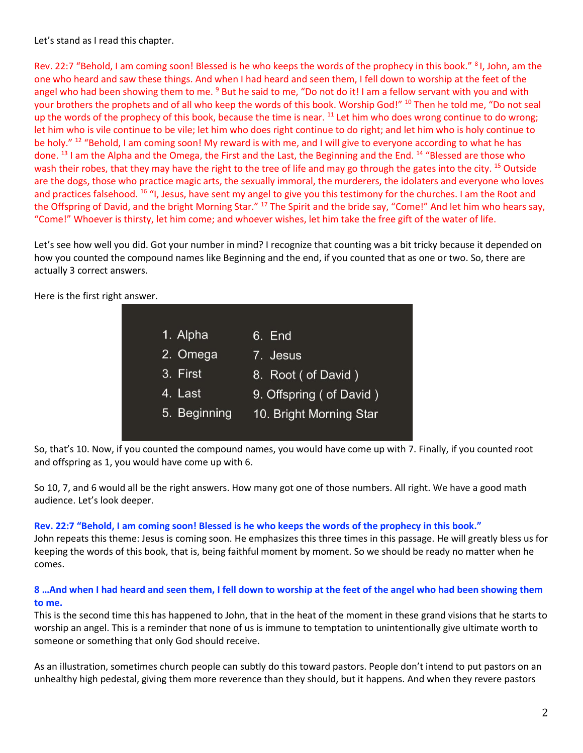Let's stand as I read this chapter.

Rev. 22:7 "Behold, I am coming soon! Blessed is he who keeps the words of the prophecy in this book." <sup>8</sup>I, John, am the one who heard and saw these things. And when I had heard and seen them, I fell down to worship at the feet of the angel who had been showing them to me. <sup>9</sup> But he said to me, "Do not do it! I am a fellow servant with you and with your brothers the prophets and of all who keep the words of this book. Worship God!" <sup>10</sup> Then he told me, "Do not seal up the words of the prophecy of this book, because the time is near.  $11$  Let him who does wrong continue to do wrong; let him who is vile continue to be vile; let him who does right continue to do right; and let him who is holy continue to be holy." <sup>12</sup> "Behold, I am coming soon! My reward is with me, and I will give to everyone according to what he has done. <sup>13</sup> I am the Alpha and the Omega, the First and the Last, the Beginning and the End. <sup>14</sup> "Blessed are those who wash their robes, that they may have the right to the tree of life and may go through the gates into the city. <sup>15</sup> Outside are the dogs, those who practice magic arts, the sexually immoral, the murderers, the idolaters and everyone who loves and practices falsehood. <sup>16</sup> "I, Jesus, have sent my angel to give you this testimony for the churches. I am the Root and the Offspring of David, and the bright Morning Star." <sup>17</sup> The Spirit and the bride say, "Come!" And let him who hears say, "Come!" Whoever is thirsty, let him come; and whoever wishes, let him take the free gift of the water of life.

Let's see how well you did. Got your number in mind? I recognize that counting was a bit tricky because it depended on how you counted the compound names like Beginning and the end, if you counted that as one or two. So, there are actually 3 correct answers.

> 1. Alpha 6. End 7. Jesus 2. Omega 3. First 8. Root ( of David ) 4. Last 9. Offspring ( of David ) 5. Beginning 10. Bright Morning Star

Here is the first right answer.

So, that's 10. Now, if you counted the compound names, you would have come up with 7. Finally, if you counted root and offspring as 1, you would have come up with 6.

So 10, 7, and 6 would all be the right answers. How many got one of those numbers. All right. We have a good math audience. Let's look deeper.

#### **Rev. 22:7 "Behold, I am coming soon! Blessed is he who keeps the words of the prophecy in this book."**

John repeats this theme: Jesus is coming soon. He emphasizes this three times in this passage. He will greatly bless us for keeping the words of this book, that is, being faithful moment by moment. So we should be ready no matter when he comes.

## **8 …And when I had heard and seen them, I fell down to worship at the feet of the angel who had been showing them to me.**

This is the second time this has happened to John, that in the heat of the moment in these grand visions that he starts to worship an angel. This is a reminder that none of us is immune to temptation to unintentionally give ultimate worth to someone or something that only God should receive.

As an illustration, sometimes church people can subtly do this toward pastors. People don't intend to put pastors on an unhealthy high pedestal, giving them more reverence than they should, but it happens. And when they revere pastors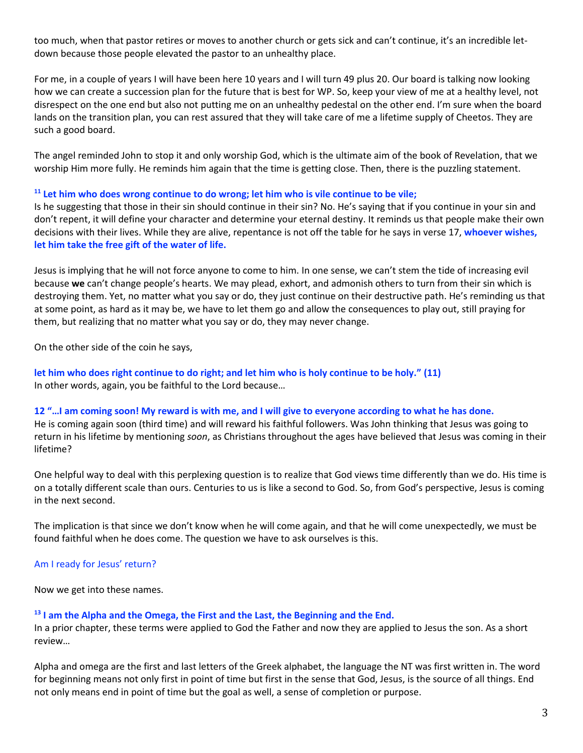too much, when that pastor retires or moves to another church or gets sick and can't continue, it's an incredible letdown because those people elevated the pastor to an unhealthy place.

For me, in a couple of years I will have been here 10 years and I will turn 49 plus 20. Our board is talking now looking how we can create a succession plan for the future that is best for WP. So, keep your view of me at a healthy level, not disrespect on the one end but also not putting me on an unhealthy pedestal on the other end. I'm sure when the board lands on the transition plan, you can rest assured that they will take care of me a lifetime supply of Cheetos. They are such a good board.

The angel reminded John to stop it and only worship God, which is the ultimate aim of the book of Revelation, that we worship Him more fully. He reminds him again that the time is getting close. Then, there is the puzzling statement.

### **<sup>11</sup> Let him who does wrong continue to do wrong; let him who is vile continue to be vile;**

Is he suggesting that those in their sin should continue in their sin? No. He's saying that if you continue in your sin and don't repent, it will define your character and determine your eternal destiny. It reminds us that people make their own decisions with their lives. While they are alive, repentance is not off the table for he says in verse 17, **whoever wishes, let him take the free gift of the water of life.**

Jesus is implying that he will not force anyone to come to him. In one sense, we can't stem the tide of increasing evil because **we** can't change people's hearts. We may plead, exhort, and admonish others to turn from their sin which is destroying them. Yet, no matter what you say or do, they just continue on their destructive path. He's reminding us that at some point, as hard as it may be, we have to let them go and allow the consequences to play out, still praying for them, but realizing that no matter what you say or do, they may never change.

On the other side of the coin he says,

**let him who does right continue to do right; and let him who is holy continue to be holy." (11)** In other words, again, you be faithful to the Lord because…

#### **12 "…I am coming soon! My reward is with me, and I will give to everyone according to what he has done.**

He is coming again soon (third time) and will reward his faithful followers. Was John thinking that Jesus was going to return in his lifetime by mentioning *soon*, as Christians throughout the ages have believed that Jesus was coming in their lifetime?

One helpful way to deal with this perplexing question is to realize that God views time differently than we do. His time is on a totally different scale than ours. Centuries to us is like a second to God. So, from God's perspective, Jesus is coming in the next second.

The implication is that since we don't know when he will come again, and that he will come unexpectedly, we must be found faithful when he does come. The question we have to ask ourselves is this.

#### Am I ready for Jesus' return?

Now we get into these names.

#### **<sup>13</sup> I am the Alpha and the Omega, the First and the Last, the Beginning and the End.**

In a prior chapter, these terms were applied to God the Father and now they are applied to Jesus the son. As a short review…

Alpha and omega are the first and last letters of the Greek alphabet, the language the NT was first written in. The word for beginning means not only first in point of time but first in the sense that God, Jesus, is the source of all things. End not only means end in point of time but the goal as well, a sense of completion or purpose.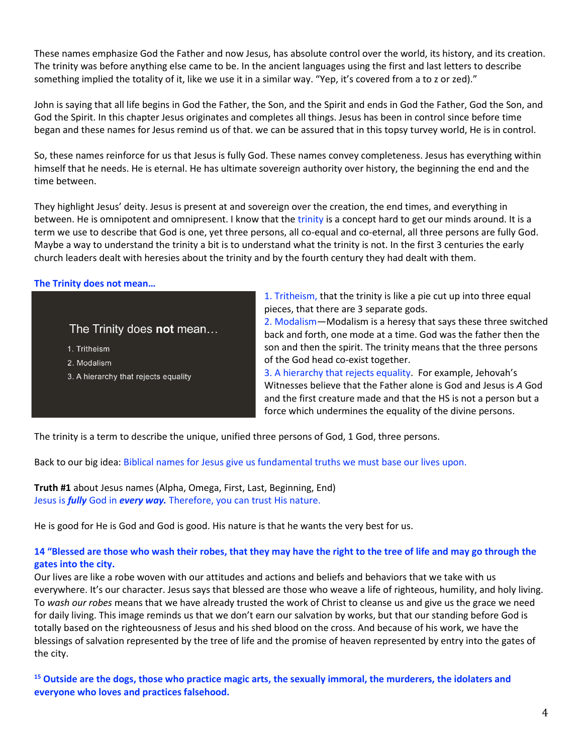These names emphasize God the Father and now Jesus, has absolute control over the world, its history, and its creation. The trinity was before anything else came to be. In the ancient languages using the first and last letters to describe something implied the totality of it, like we use it in a similar way. "Yep, it's covered from a to z or zed)."

John is saying that all life begins in God the Father, the Son, and the Spirit and ends in God the Father, God the Son, and God the Spirit. In this chapter Jesus originates and completes all things. Jesus has been in control since before time began and these names for Jesus remind us of that. we can be assured that in this topsy turvey world, He is in control.

So, these names reinforce for us that Jesus is fully God. These names convey completeness. Jesus has everything within himself that he needs. He is eternal. He has ultimate sovereign authority over history, the beginning the end and the time between.

They highlight Jesus' deity. Jesus is present at and sovereign over the creation, the end times, and everything in between. He is omnipotent and omnipresent. I know that the trinity is a concept hard to get our minds around. It is a term we use to describe that God is one, yet three persons, all co-equal and co-eternal, all three persons are fully God. Maybe a way to understand the trinity a bit is to understand what the trinity is not. In the first 3 centuries the early church leaders dealt with heresies about the trinity and by the fourth century they had dealt with them.

### **The Trinity does not mean…**

## The Trinity does not mean...

1. Tritheism

- 2. Modalism
- 3. A hierarchy that rejects equality

1. Tritheism, that the trinity is like a pie cut up into three equal pieces, that there are 3 separate gods.

2. Modalism—Modalism is a heresy that says these three switched back and forth, one mode at a time. God was the father then the son and then the spirit. The trinity means that the three persons of the God head co-exist together.

3. A hierarchy that rejects equality. For example, Jehovah's Witnesses believe that the Father alone is God and Jesus is *A* God and the first creature made and that the HS is not a person but a force which undermines the equality of the divine persons.

The trinity is a term to describe the unique, unified three persons of God, 1 God, three persons.

Back to our big idea: Biblical names for Jesus give us fundamental truths we must base our lives upon.

**Truth #1** about Jesus names (Alpha, Omega, First, Last, Beginning, End) Jesus is *fully* God in *every way.* Therefore, you can trust His nature.

He is good for He is God and God is good. His nature is that he wants the very best for us.

## **14 "Blessed are those who wash their robes, that they may have the right to the tree of life and may go through the gates into the city.**

Our lives are like a robe woven with our attitudes and actions and beliefs and behaviors that we take with us everywhere. It's our character. Jesus says that blessed are those who weave a life of righteous, humility, and holy living. To *wash our robes* means that we have already trusted the work of Christ to cleanse us and give us the grace we need for daily living. This image reminds us that we don't earn our salvation by works, but that our standing before God is totally based on the righteousness of Jesus and his shed blood on the cross. And because of his work, we have the blessings of salvation represented by the tree of life and the promise of heaven represented by entry into the gates of the city.

**<sup>15</sup> Outside are the dogs, those who practice magic arts, the sexually immoral, the murderers, the idolaters and everyone who loves and practices falsehood.**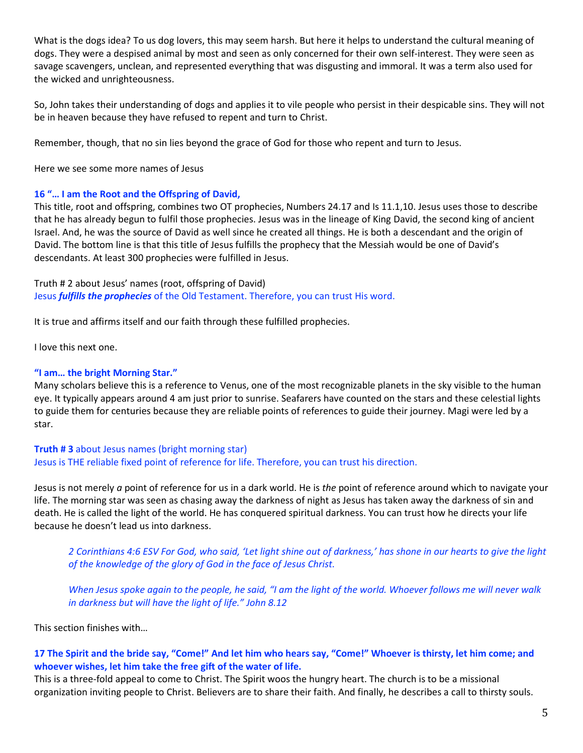What is the dogs idea? To us dog lovers, this may seem harsh. But here it helps to understand the cultural meaning of dogs. They were a despised animal by most and seen as only concerned for their own self-interest. They were seen as savage scavengers, unclean, and represented everything that was disgusting and immoral. It was a term also used for the wicked and unrighteousness.

So, John takes their understanding of dogs and applies it to vile people who persist in their despicable sins. They will not be in heaven because they have refused to repent and turn to Christ.

Remember, though, that no sin lies beyond the grace of God for those who repent and turn to Jesus.

Here we see some more names of Jesus

### **16 "… I am the Root and the Offspring of David,**

This title, root and offspring, combines two OT prophecies, Numbers 24.17 and Is 11.1,10. Jesus uses those to describe that he has already begun to fulfil those prophecies. Jesus was in the lineage of King David, the second king of ancient Israel. And, he was the source of David as well since he created all things. He is both a descendant and the origin of David. The bottom line is that this title of Jesus fulfills the prophecy that the Messiah would be one of David's descendants. At least 300 prophecies were fulfilled in Jesus.

Truth # 2 about Jesus' names (root, offspring of David) Jesus *fulfills the prophecies* of the Old Testament. Therefore, you can trust His word.

It is true and affirms itself and our faith through these fulfilled prophecies.

I love this next one.

### **"I am… the bright Morning Star."**

Many scholars believe this is a reference to Venus, one of the most recognizable planets in the sky visible to the human eye. It typically appears around 4 am just prior to sunrise. Seafarers have counted on the stars and these celestial lights to guide them for centuries because they are reliable points of references to guide their journey. Magi were led by a star.

**Truth # 3** about Jesus names (bright morning star) Jesus is THE reliable fixed point of reference for life. Therefore, you can trust his direction.

Jesus is not merely *a* point of reference for us in a dark world. He is *the* point of reference around which to navigate your life. The morning star was seen as chasing away the darkness of night as Jesus has taken away the darkness of sin and death. He is called the light of the world. He has conquered spiritual darkness. You can trust how he directs your life because he doesn't lead us into darkness.

*2 Corinthians 4:6 ESV For God, who said, 'Let light shine out of darkness,' has shone in our hearts to give the light of the knowledge of the glory of God in the face of Jesus Christ.*

*When Jesus spoke again to the people, he said, "I am the light of the world. Whoever follows me will never walk in darkness but will have the light of life." John 8.12*

This section finishes with…

## **17 The Spirit and the bride say, "Come!" And let him who hears say, "Come!" Whoever is thirsty, let him come; and whoever wishes, let him take the free gift of the water of life.**

This is a three-fold appeal to come to Christ. The Spirit woos the hungry heart. The church is to be a missional organization inviting people to Christ. Believers are to share their faith. And finally, he describes a call to thirsty souls.